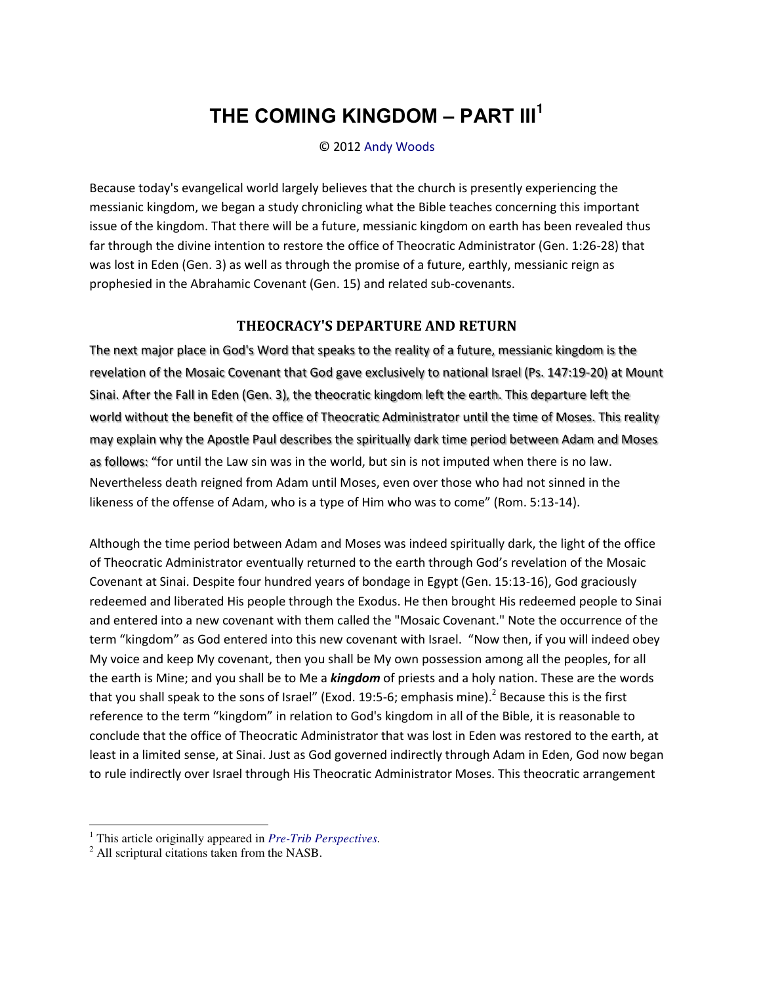## **THE COMING KINGDOM ‒ PART III<sup>1</sup>**

© 2012 [Andy Woods](http://www.spiritandtruth.org/id/aw.htm) 

Because today's evangelical world largely believes that the church is presently experiencing the messianic kingdom, we began a study chronicling what the Bible teaches concerning this important issue of the kingdom. That there will be a future, messianic kingdom on earth has been revealed thus far through the divine intention to restore the office of Theocratic Administrator (Gen. 1:26-28) that was lost in Eden (Gen. 3) as well as through the promise of a future, earthly, messianic reign as prophesied in the Abrahamic Covenant (Gen. 15) and related sub-covenants.

## **THEOCRACY'S DEPARTURE AND RETURN**

The next major place in God's Word that speaks to the reality of a future, messianic kingdom is the revelation of the Mosaic Covenant that God gave exclusively to national Israel (Ps. 147:19-20) at Mount Sinai. After the Fall in Eden (Gen. 3), the theocratic kingdom left the earth. This departure left the world without the benefit of the office of Theocratic Administrator until the time of Moses. This reality may explain why the Apostle Paul describes the spiritually dark time period between Adam and Moses as follows: "for until the Law sin was in the world, but sin is not imputed when there is no law. Nevertheless death reigned from Adam until Moses, even over those who had not sinned in the likeness of the offense of Adam, who is a type of Him who was to come" (Rom. 5:13-14).

Although the time period between Adam and Moses was indeed spiritually dark, the light of the office of Theocratic Administrator eventually returned to the earth through God's revelation of the Mosaic Covenant at Sinai. Despite four hundred years of bondage in Egypt (Gen. 15:13-16), God graciously redeemed and liberated His people through the Exodus. He then brought His redeemed people to Sinai and entered into a new covenant with them called the "Mosaic Covenant." Note the occurrence of the term "kingdom" as God entered into this new covenant with Israel. "Now then, if you will indeed obey My voice and keep My covenant, then you shall be My own possession among all the peoples, for all the earth is Mine; and you shall be to Me a *kingdom* of priests and a holy nation. These are the words that you shall speak to the sons of Israel" (Exod. 19:5-6; emphasis mine).<sup>2</sup> Because this is the first reference to the term "kingdom" in relation to God's kingdom in all of the Bible, it is reasonable to conclude that the office of Theocratic Administrator that was lost in Eden was restored to the earth, at least in a limited sense, at Sinai. Just as God governed indirectly through Adam in Eden, God now began to rule indirectly over Israel through His Theocratic Administrator Moses. This theocratic arrangement

 $\overline{\phantom{0}}$ 

<sup>1</sup> This article originally appeared in *[Pre-Trib Perspectives.](http://www.pre-trib.org/)* 

<sup>&</sup>lt;sup>2</sup> All scriptural citations taken from the NASB.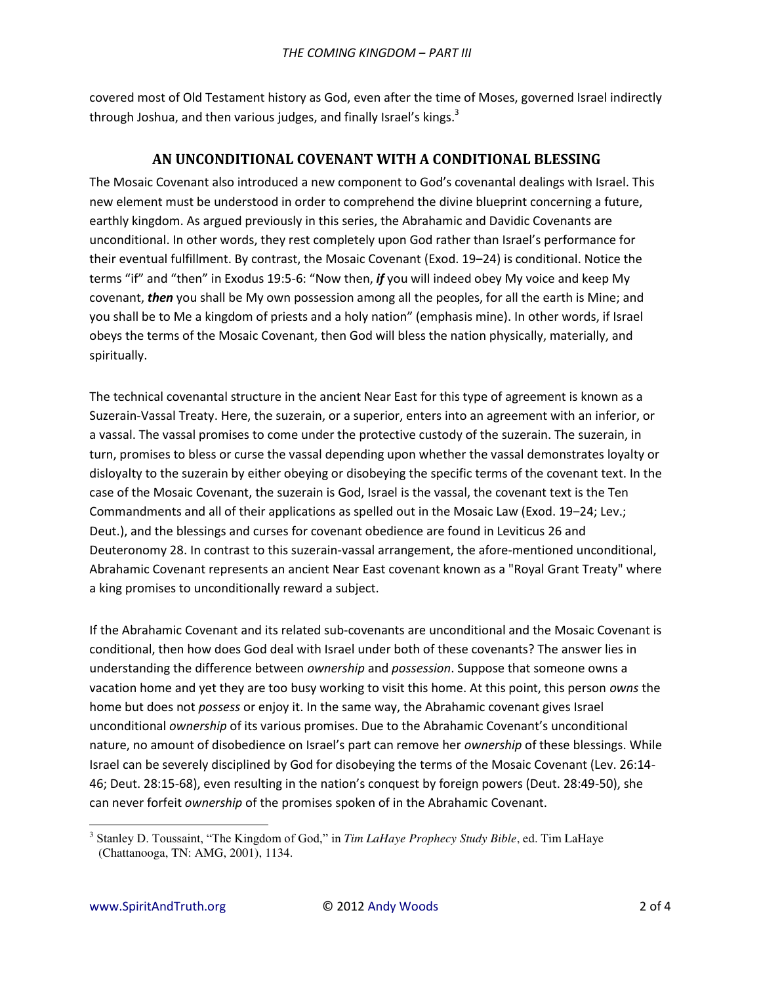covered most of Old Testament history as God, even after the time of Moses, governed Israel indirectly through Joshua, and then various judges, and finally Israel's kings.<sup>3</sup>

## AN UNCONDITIONAL COVENANT WITH A CONDITIONAL BLESSING

The Mosaic Covenant also introduced a new component to God's covenantal dealings with Israel. This new element must be understood in order to comprehend the divine blueprint concerning a future, earthly kingdom. As argued previously in this series, the Abrahamic and Davidic Covenants are unconditional. In other words, they rest completely upon God rather than Israel's performance for their eventual fulfillment. By contrast, the Mosaic Covenant (Exod. 19-24) is conditional. Notice the terms "if" and "then" in Exodus 19:5-6: "Now then, if you will indeed obey My voice and keep My covenant, then you shall be My own possession among all the peoples, for all the earth is Mine; and you shall be to Me a kingdom of priests and a holy nation" (emphasis mine). In other words, if Israel obeys the terms of the Mosaic Covenant, then God will bless the nation physically, materially, and spiritually.

The technical covenantal structure in the ancient Near East for this type of agreement is known as a Suzerain-Vassal Treaty. Here, the suzerain, or a superior, enters into an agreement with an inferior, or a vassal. The vassal promises to come under the protective custody of the suzerain. The suzerain, in turn, promises to bless or curse the vassal depending upon whether the vassal demonstrates loyalty or disloyalty to the suzerain by either obeying or disobeying the specific terms of the covenant text. In the case of the Mosaic Covenant, the suzerain is God, Israel is the vassal, the covenant text is the Ten Commandments and all of their applications as spelled out in the Mosaic Law (Exod. 19-24; Lev.; Deut.), and the blessings and curses for covenant obedience are found in Leviticus 26 and Deuteronomy 28. In contrast to this suzerain-vassal arrangement, the afore-mentioned unconditional, Abrahamic Covenant represents an ancient Near East covenant known as a "Royal Grant Treaty" where a king promises to unconditionally reward a subject.

If the Abrahamic Covenant and its related sub-covenants are unconditional and the Mosaic Covenant is conditional, then how does God deal with Israel under both of these covenants? The answer lies in understanding the difference between ownership and possession. Suppose that someone owns a vacation home and yet they are too busy working to visit this home. At this point, this person owns the home but does not possess or enjoy it. In the same way, the Abrahamic covenant gives Israel unconditional ownership of its various promises. Due to the Abrahamic Covenant's unconditional nature, no amount of disobedience on Israel's part can remove her ownership of these blessings. While Israel can be severely disciplined by God for disobeying the terms of the Mosaic Covenant (Lev. 26:14-46; Deut. 28:15-68), even resulting in the nation's conquest by foreign powers (Deut. 28:49-50), she can never forfeit ownership of the promises spoken of in the Abrahamic Covenant.

<sup>&</sup>lt;sup>3</sup> Stanley D. Toussaint, "The Kingdom of God," in Tim LaHaye Prophecy Study Bible, ed. Tim LaHaye (Chattanooga, TN: AMG, 2001), 1134.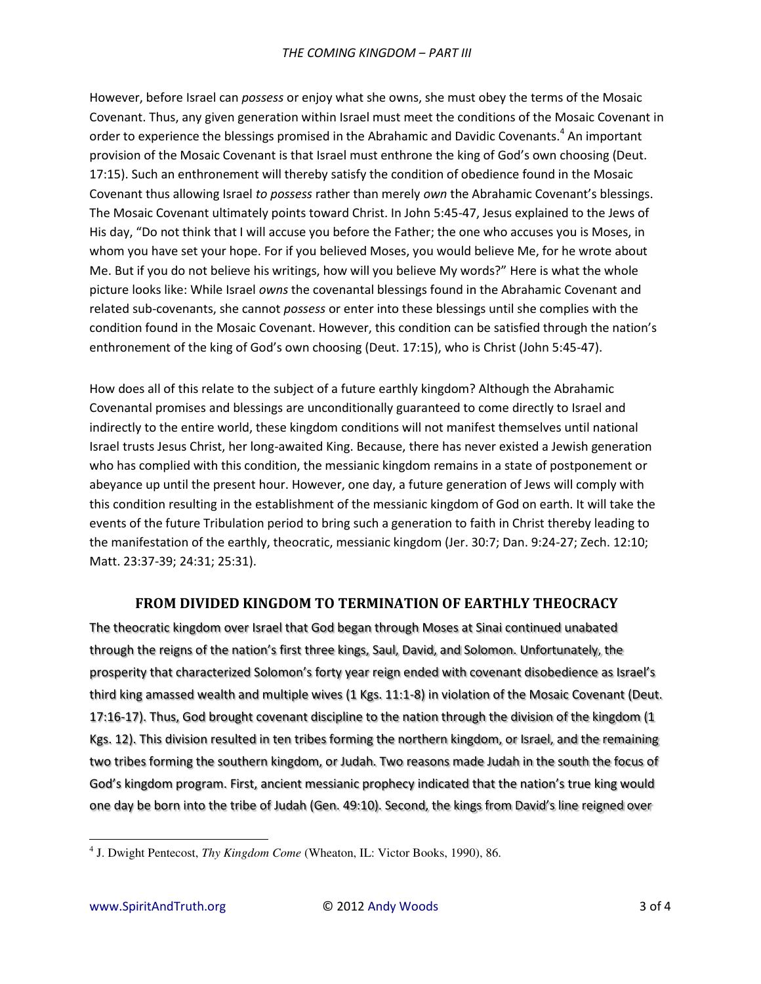However, before Israel can *possess* or enjoy what she owns, she must obey the terms of the Mosaic Covenant. Thus, any given generation within Israel must meet the conditions of the Mosaic Covenant in order to experience the blessings promised in the Abrahamic and Davidic Covenants.<sup>4</sup> An important provision of the Mosaic Covenant is that Israel must enthrone the king of God's own choosing (Deut. 17:15). Such an enthronement will thereby satisfy the condition of obedience found in the Mosaic Covenant thus allowing Israel *to possess* rather than merely *own* the Abrahamic Covenant's blessings. The Mosaic Covenant ultimately points toward Christ. In John 5:45-47, Jesus explained to the Jews of His day, "Do not think that I will accuse you before the Father; the one who accuses you is Moses, in whom you have set your hope. For if you believed Moses, you would believe Me, for he wrote about Me. But if you do not believe his writings, how will you believe My words?" Here is what the whole picture looks like: While Israel *owns* the covenantal blessings found in the Abrahamic Covenant and related sub-covenants, she cannot *possess* or enter into these blessings until she complies with the condition found in the Mosaic Covenant. However, this condition can be satisfied through the nation's enthronement of the king of God's own choosing (Deut. 17:15), who is Christ (John 5:45-47).

How does all of this relate to the subject of a future earthly kingdom? Although the Abrahamic Covenantal promises and blessings are unconditionally guaranteed to come directly to Israel and indirectly to the entire world, these kingdom conditions will not manifest themselves until national Israel trusts Jesus Christ, her long-awaited King. Because, there has never existed a Jewish generation who has complied with this condition, the messianic kingdom remains in a state of postponement or abeyance up until the present hour. However, one day, a future generation of Jews will comply with this condition resulting in the establishment of the messianic kingdom of God on earth. It will take the events of the future Tribulation period to bring such a generation to faith in Christ thereby leading to the manifestation of the earthly, theocratic, messianic kingdom (Jer. 30:7; Dan. 9:24-27; Zech. 12:10; Matt. 23:37-39; 24:31; 25:31).

## **FROM DIVIDED KINGDOM TO TERMINATION OF EARTHLY THEOCRACY**

The theocratic kingdom over Israel that God began through Moses at Sinai continued unabated through the reigns of the nation's first three kings, Saul, David, and Solomon. Unfortunately, the prosperity that characterized Solomon's forty year reign ended with covenant disobedience as Israel's third king amassed wealth and multiple wives (1 Kgs. 11:1-8) in violation of the Mosaic Covenant (Deut. 17:16-17). Thus, God brought covenant discipline to the nation through the division of the kingdom (1 Kgs. 12). This division resulted in ten tribes forming the northern kingdom, or Israel, and the remaining two tribes forming the southern kingdom, or Judah. Two reasons made Judah in the south the focus of God's kingdom program. First, ancient messianic prophecy indicated that the nation's true king would one day be born into the tribe of Judah (Gen. 49:10). Second, the kings from David's line reigned over

 $\overline{a}$ 

<sup>4</sup> J. Dwight Pentecost, *Thy Kingdom Come* (Wheaton, IL: Victor Books, 1990), 86.